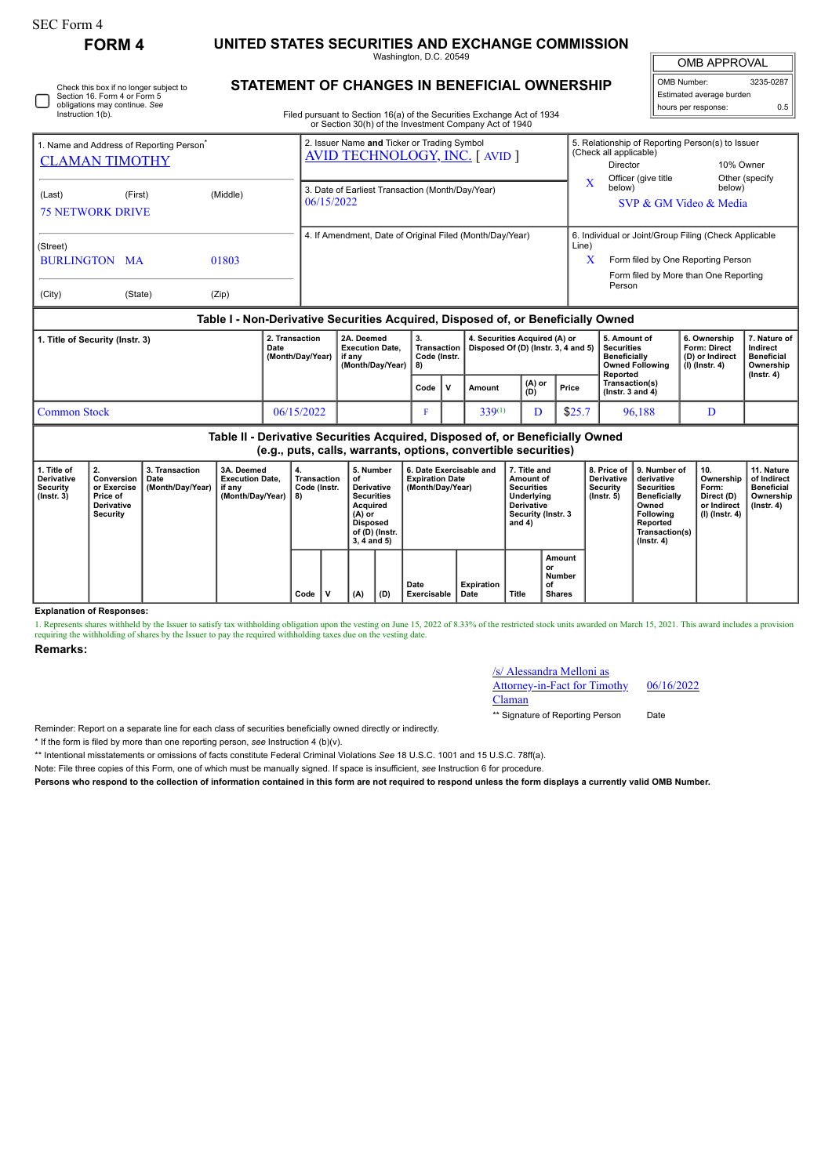Г

## **FORM 4 UNITED STATES SECURITIES AND EXCHANGE COMMISSION**

Washington, D.C. 20549

OMB APPROVAL OMB Number: 3235-0287

Estimated average burden hours per response: 0.5

|  | Check this box if no longer subject to<br>Section 16, Form 4 or Form 5<br>obligations may continue. See<br>Instruction 1(b). |
|--|------------------------------------------------------------------------------------------------------------------------------|
|--|------------------------------------------------------------------------------------------------------------------------------|

## **STATEMENT OF CHANGES IN BENEFICIAL OWNERSHIP**

Filed pursuant to Section 16(a) of the Securities Exchange Act of 1934 or Section 30(h) of the Investment Company Act of 1940

| 1. Name and Address of Reporting Person <sup>®</sup> |                     |       | 2. Issuer Name and Ticker or Trading Symbol<br><b>AVID TECHNOLOGY, INC. [ AVID ]</b> |  |                                                                                                                                               |      |                             |                                                                      |               | 5. Relationship of Reporting Person(s) to Issuer<br>(Check all applicable)                                                           |                                                                                                |                                                                     |                                                            |  |
|------------------------------------------------------|---------------------|-------|--------------------------------------------------------------------------------------|--|-----------------------------------------------------------------------------------------------------------------------------------------------|------|-----------------------------|----------------------------------------------------------------------|---------------|--------------------------------------------------------------------------------------------------------------------------------------|------------------------------------------------------------------------------------------------|---------------------------------------------------------------------|------------------------------------------------------------|--|
| <b>CLAMAN TIMOTHY</b>                                |                     |       |                                                                                      |  |                                                                                                                                               |      |                             |                                                                      |               | Director                                                                                                                             | 10% Owner                                                                                      |                                                                     |                                                            |  |
| (Last)<br><b>75 NETWORK DRIVE</b>                    | (Middle)<br>(First) |       |                                                                                      |  | 3. Date of Earliest Transaction (Month/Day/Year)<br>06/15/2022                                                                                |      |                             |                                                                      | $\mathbf{x}$  | Officer (give title<br>below)                                                                                                        | below)<br>SVP & GM Video & Media                                                               | Other (specify                                                      |                                                            |  |
| (Street)<br><b>BURLINGTON MA</b><br>01803            |                     |       |                                                                                      |  | 4. If Amendment, Date of Original Filed (Month/Day/Year)                                                                                      |      |                             |                                                                      | Line)<br>X    | 6. Individual or Joint/Group Filing (Check Applicable<br>Form filed by One Reporting Person<br>Form filed by More than One Reporting |                                                                                                |                                                                     |                                                            |  |
| (City)                                               | (State)             | (Zip) |                                                                                      |  |                                                                                                                                               |      |                             |                                                                      |               |                                                                                                                                      | Person                                                                                         |                                                                     |                                                            |  |
|                                                      |                     |       |                                                                                      |  | Table I - Non-Derivative Securities Acquired, Disposed of, or Beneficially Owned                                                              |      |                             |                                                                      |               |                                                                                                                                      |                                                                                                |                                                                     |                                                            |  |
| 1. Title of Security (Instr. 3)<br>Date              |                     |       | 2. Transaction<br>(Month/Day/Year)                                                   |  | 2A. Deemed<br><b>Execution Date.</b><br>if any<br>(Month/Day/Year)                                                                            |      | Transaction<br>Code (Instr. | 4. Securities Acquired (A) or<br>Disposed Of (D) (Instr. 3, 4 and 5) |               |                                                                                                                                      | 5. Amount of<br><b>Securities</b><br><b>Beneficially</b><br><b>Owned Following</b><br>Reported | 6. Ownership<br>Form: Direct<br>(D) or Indirect<br>$(I)$ (Instr. 4) | 7. Nature of<br>Indirect<br><b>Beneficial</b><br>Ownership |  |
|                                                      |                     |       |                                                                                      |  |                                                                                                                                               | Code | v                           | Amount                                                               | (A) or<br>(D) | Price                                                                                                                                | Transaction(s)<br>$($ Instr. 3 and 4 $)$                                                       |                                                                     | $($ Instr. 4 $)$                                           |  |
| 06/15/2022<br><b>Common Stock</b>                    |                     |       |                                                                                      |  |                                                                                                                                               |      |                             | $339^{(1)}$                                                          | D             | \$25.7                                                                                                                               | 96,188                                                                                         | D                                                                   |                                                            |  |
|                                                      |                     |       |                                                                                      |  | Table II - Derivative Securities Acquired, Disposed of, or Beneficially Owned<br>(e.g. puts, calle warrants, ontions, convertible securities) |      |                             |                                                                      |               |                                                                                                                                      |                                                                                                |                                                                     |                                                            |  |

**(e.g., puts, calls, warrants, options, convertible securities)**

|                                                       | 10.9., puts, cans, warrants, options, corrections securities)                |                                                     |                                                          |                                     |  |                                                                                                                               |     |                                                                       |                    |                                                                                                            |                                               |                                             |                                                                                                                                                       |                                                                          |                                                                          |
|-------------------------------------------------------|------------------------------------------------------------------------------|-----------------------------------------------------|----------------------------------------------------------|-------------------------------------|--|-------------------------------------------------------------------------------------------------------------------------------|-----|-----------------------------------------------------------------------|--------------------|------------------------------------------------------------------------------------------------------------|-----------------------------------------------|---------------------------------------------|-------------------------------------------------------------------------------------------------------------------------------------------------------|--------------------------------------------------------------------------|--------------------------------------------------------------------------|
| 1. Title of<br>Derivative<br>Security<br>  (Instr. 3) | 2.<br>Conversion<br>or Exercise<br>Price of<br><b>Derivative</b><br>Security | 3. Transaction<br>Date<br>(Month/Day/Year)   if any | 3A. Deemed<br><b>Execution Date.</b><br>(Month/Day/Year) | Transaction<br>Code (Instr.<br>  8) |  | 5. Number<br>οt<br>Derivative<br><b>Securities</b><br><b>Acquired</b><br>$(A)$ or<br>Disposed<br>of (D) (Instr.<br>3.4 and 5) |     | 6. Date Exercisable and<br><b>Expiration Date</b><br>(Month/Day/Year) |                    | 7. Title and<br>Amount of<br><b>Securities</b><br>Underlying<br>Derivative<br>Security (Instr. 3<br>and 4) |                                               | <b>Derivative</b><br>Security<br>(Instr. 5) | 8. Price of 19. Number of<br>derivative<br><b>Securities</b><br><b>Beneficially</b><br>Owned<br>Following<br>Reported<br>Transaction(s)<br>(Instr. 4) | 10.<br>Ownership<br>Form:<br>Direct (D)<br>or Indirect<br>(I) (Instr. 4) | 11. Nature<br>of Indirect<br>Beneficial<br>Ownership<br>$($ lnstr. 4 $)$ |
|                                                       |                                                                              |                                                     |                                                          | $Code \vert$                        |  | (A)                                                                                                                           | (D) | Date<br>Exercisable                                                   | Expiration<br>Date | Title                                                                                                      | Amount<br>or<br>Number<br>οf<br><b>Shares</b> |                                             |                                                                                                                                                       |                                                                          |                                                                          |

**Explanation of Responses:**

1. Represents shares withheld by the Issuer to satisfy tax withholding obligation upon the vesting on June 15, 2022 of 8.33% of the restricted stock units awarded on March 15, 2021. This award includes a provision requiring the withholding of shares by the Issuer to pay the required withholding taxes due on the vesting date.

**Remarks:**

## /s/ Alessandra Melloni as Attorney-in-Fact for Timothy

06/16/2022

Claman

\*\* Signature of Reporting Person Date

Reminder: Report on a separate line for each class of securities beneficially owned directly or indirectly.

\* If the form is filed by more than one reporting person, *see* Instruction 4 (b)(v).

\*\* Intentional misstatements or omissions of facts constitute Federal Criminal Violations *See* 18 U.S.C. 1001 and 15 U.S.C. 78ff(a).

Note: File three copies of this Form, one of which must be manually signed. If space is insufficient, *see* Instruction 6 for procedure.

**Persons who respond to the collection of information contained in this form are not required to respond unless the form displays a currently valid OMB Number.**